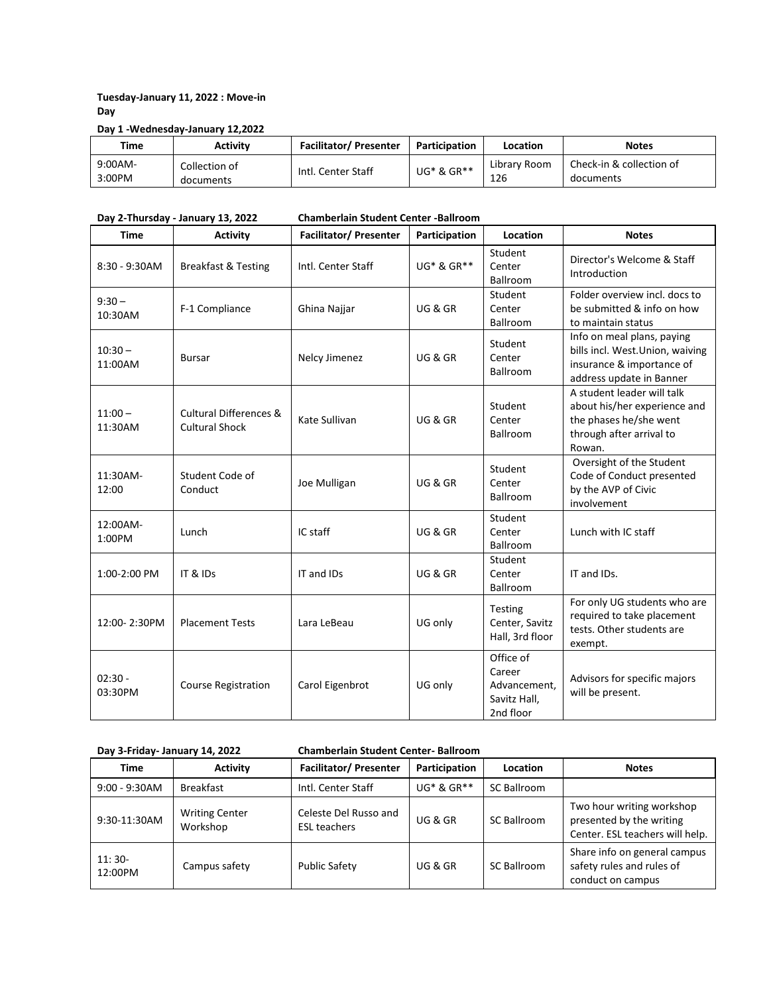# **Tuesday-January 11, 2022 : Move-in Day**

### **Day 1 -Wednesday-January 12,2022**

| Time              | <b>Activity</b>            | <b>Facilitator/Presenter</b> | Participation | Location            | <b>Notes</b>                          |
|-------------------|----------------------------|------------------------------|---------------|---------------------|---------------------------------------|
| 9:00AM-<br>3:00PM | Collection of<br>documents | Intl. Center Staff           | UG* & GR**    | Library Room<br>126 | Check-in & collection of<br>documents |

**Day 2-Thursday - January 13, 2022 Chamberlain Student Center -Ballroom**

| <b>Time</b>          | <b>Activity</b>                                 | <b>Facilitator/Presenter</b> | Participation      | Location                                                         | <b>Notes</b>                                                                                                               |
|----------------------|-------------------------------------------------|------------------------------|--------------------|------------------------------------------------------------------|----------------------------------------------------------------------------------------------------------------------------|
| $8:30 - 9:30$ AM     | <b>Breakfast &amp; Testing</b>                  | Intl. Center Staff           | UG* & GR**         | Student<br>Center<br>Ballroom                                    | Director's Welcome & Staff<br>Introduction                                                                                 |
| $9:30 -$<br>10:30AM  | F-1 Compliance                                  | Ghina Najjar                 | UG & GR            | Student<br>Center<br>Ballroom                                    | Folder overview incl. docs to<br>be submitted & info on how<br>to maintain status                                          |
| $10:30 -$<br>11:00AM | <b>Bursar</b>                                   | Nelcy Jimenez                | UG & GR            | Student<br>Center<br>Ballroom                                    | Info on meal plans, paying<br>bills incl. West.Union, waiving<br>insurance & importance of<br>address update in Banner     |
| $11:00 -$<br>11:30AM | Cultural Differences &<br><b>Cultural Shock</b> | Kate Sullivan                | UG & GR            | Student<br>Center<br>Ballroom                                    | A student leader will talk<br>about his/her experience and<br>the phases he/she went<br>through after arrival to<br>Rowan. |
| 11:30AM-<br>12:00    | Student Code of<br>Conduct                      | Joe Mulligan                 | UG & GR            | Student<br>Center<br>Ballroom                                    | Oversight of the Student<br>Code of Conduct presented<br>by the AVP of Civic<br>involvement                                |
| 12:00AM-<br>1:00PM   | Lunch                                           | IC staff                     | UG & GR            | Student<br>Center<br>Ballroom                                    | Lunch with IC staff                                                                                                        |
| 1:00-2:00 PM         | IT & IDs                                        | IT and IDs                   | <b>UG &amp; GR</b> | Student<br>Center<br>Ballroom                                    | IT and IDs.                                                                                                                |
| 12:00-2:30PM         | <b>Placement Tests</b>                          | Lara LeBeau                  | UG only            | Testing<br>Center, Savitz<br>Hall, 3rd floor                     | For only UG students who are<br>required to take placement<br>tests. Other students are<br>exempt.                         |
| $02:30 -$<br>03:30PM | <b>Course Registration</b>                      | Carol Eigenbrot              | UG only            | Office of<br>Career<br>Advancement,<br>Savitz Hall,<br>2nd floor | Advisors for specific majors<br>will be present.                                                                           |

# **Day 3-Friday- January 14, 2022 Chamberlain Student Center- Ballroom**

| <b>Time</b>         | <b>Activity</b>                   | <b>Facilitator/Presenter</b>                 | Participation      | Location           | <b>Notes</b>                                                                             |
|---------------------|-----------------------------------|----------------------------------------------|--------------------|--------------------|------------------------------------------------------------------------------------------|
| $9:00 - 9:30$ AM    | <b>Breakfast</b>                  | Intl. Center Staff                           | $UG^*$ & $GR^{**}$ | <b>SC Ballroom</b> |                                                                                          |
| 9:30-11:30AM        | <b>Writing Center</b><br>Workshop | Celeste Del Russo and<br><b>ESL teachers</b> | UG & GR            | SC Ballroom        | Two hour writing workshop<br>presented by the writing<br>Center. ESL teachers will help. |
| $11:30-$<br>12:00PM | Campus safety                     | <b>Public Safety</b>                         | UG & GR            | SC Ballroom        | Share info on general campus<br>safety rules and rules of<br>conduct on campus           |